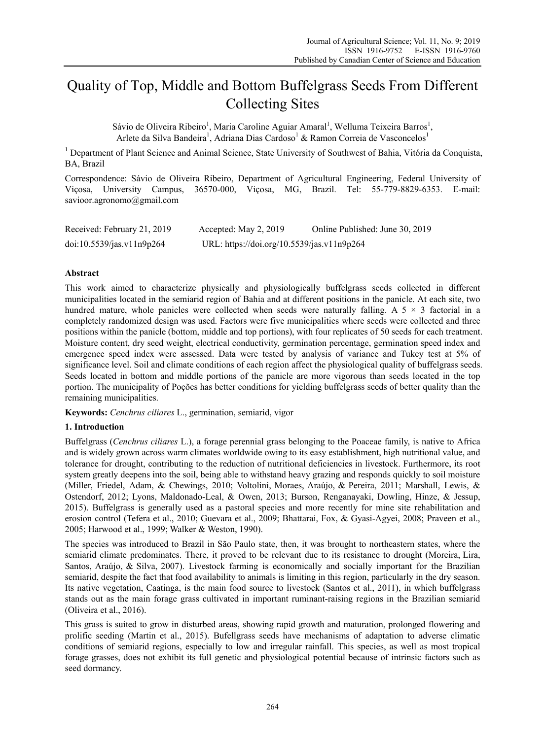# Quality of Top, Middle and Bottom Buffelgrass Seeds From Different Collecting Sites

Sávio de Oliveira Ribeiro<sup>1</sup>, Maria Caroline Aguiar Amaral<sup>1</sup>, Welluma Teixeira Barros<sup>1</sup>, Arlete da Silva Bandeira<sup>1</sup>, Adriana Dias Cardoso<sup>1</sup> & Ramon Correia de Vasconcelos<sup>1</sup>

<sup>1</sup> Department of Plant Science and Animal Science, State University of Southwest of Bahia, Vitória da Conquista, BA, Brazil

Correspondence: Sávio de Oliveira Ribeiro, Department of Agricultural Engineering, Federal University of Viçosa, University Campus, 36570-000, Viçosa, MG, Brazil. Tel: 55-779-8829-6353. E-mail: savioor.agronomo@gmail.com

| Received: February 21, 2019 | Accepted: May 2, 2019                      | Online Published: June 30, 2019 |
|-----------------------------|--------------------------------------------|---------------------------------|
| doi:10.5539/jas.v11n9p264   | URL: https://doi.org/10.5539/jas.v11n9p264 |                                 |

# **Abstract**

This work aimed to characterize physically and physiologically buffelgrass seeds collected in different municipalities located in the semiarid region of Bahia and at different positions in the panicle. At each site, two hundred mature, whole panicles were collected when seeds were naturally falling. A  $5 \times 3$  factorial in a completely randomized design was used. Factors were five municipalities where seeds were collected and three positions within the panicle (bottom, middle and top portions), with four replicates of 50 seeds for each treatment. Moisture content, dry seed weight, electrical conductivity, germination percentage, germination speed index and emergence speed index were assessed. Data were tested by analysis of variance and Tukey test at 5% of significance level. Soil and climate conditions of each region affect the physiological quality of buffelgrass seeds. Seeds located in bottom and middle portions of the panicle are more vigorous than seeds located in the top portion. The municipality of Poções has better conditions for yielding buffelgrass seeds of better quality than the remaining municipalities.

**Keywords:** *Cenchrus ciliares* L., germination, semiarid, vigor

## **1. Introduction**

Buffelgrass (*Cenchrus ciliares* L.), a forage perennial grass belonging to the Poaceae family, is native to Africa and is widely grown across warm climates worldwide owing to its easy establishment, high nutritional value, and tolerance for drought, contributing to the reduction of nutritional deficiencies in livestock. Furthermore, its root system greatly deepens into the soil, being able to withstand heavy grazing and responds quickly to soil moisture (Miller, Friedel, Adam, & Chewings, 2010; Voltolini, Moraes, Araújo, & Pereira, 2011; Marshall, Lewis, & Ostendorf, 2012; Lyons, Maldonado-Leal, & Owen, 2013; Burson, Renganayaki, Dowling, Hinze, & Jessup, 2015). Buffelgrass is generally used as a pastoral species and more recently for mine site rehabilitation and erosion control (Tefera et al., 2010; Guevara et al., 2009; Bhattarai, Fox, & Gyasi-Agyei, 2008; Praveen et al., 2005; Harwood et al., 1999; Walker & Weston, 1990).

The species was introduced to Brazil in São Paulo state, then, it was brought to northeastern states, where the semiarid climate predominates. There, it proved to be relevant due to its resistance to drought (Moreira, Lira, Santos, Araújo, & Silva, 2007). Livestock farming is economically and socially important for the Brazilian semiarid, despite the fact that food availability to animals is limiting in this region, particularly in the dry season. Its native vegetation, Caatinga, is the main food source to livestock (Santos et al., 2011), in which buffelgrass stands out as the main forage grass cultivated in important ruminant-raising regions in the Brazilian semiarid (Oliveira et al., 2016).

This grass is suited to grow in disturbed areas, showing rapid growth and maturation, prolonged flowering and prolific seeding (Martin et al., 2015). Bufellgrass seeds have mechanisms of adaptation to adverse climatic conditions of semiarid regions, especially to low and irregular rainfall. This species, as well as most tropical forage grasses, does not exhibit its full genetic and physiological potential because of intrinsic factors such as seed dormancy.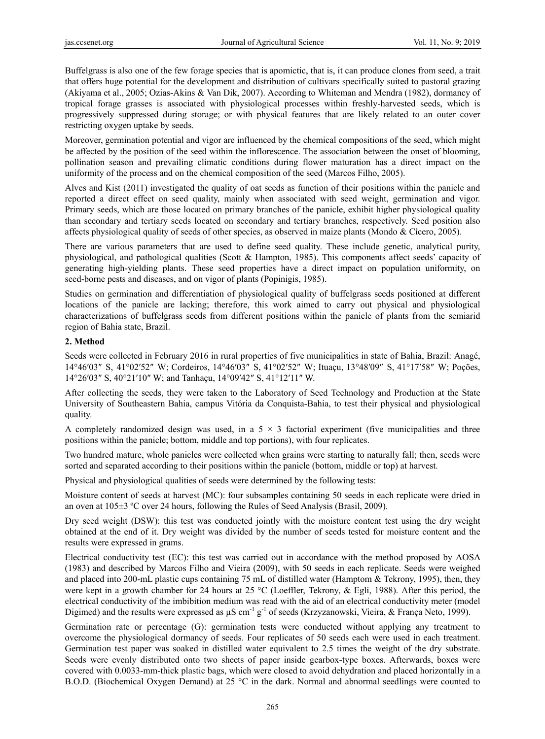Buffelgrass is also one of the few forage species that is apomictic, that is, it can produce clones from seed, a trait that offers huge potential for the development and distribution of cultivars specifically suited to pastoral grazing (Akiyama et al., 2005; Ozias-Akins & Van Dik, 2007). According to Whiteman and Mendra (1982), dormancy of tropical forage grasses is associated with physiological processes within freshly-harvested seeds, which is progressively suppressed during storage; or with physical features that are likely related to an outer cover restricting oxygen uptake by seeds.

Moreover, germination potential and vigor are influenced by the chemical compositions of the seed, which might be affected by the position of the seed within the inflorescence. The association between the onset of blooming, pollination season and prevailing climatic conditions during flower maturation has a direct impact on the uniformity of the process and on the chemical composition of the seed (Marcos Filho, 2005).

Alves and Kist (2011) investigated the quality of oat seeds as function of their positions within the panicle and reported a direct effect on seed quality, mainly when associated with seed weight, germination and vigor. Primary seeds, which are those located on primary branches of the panicle, exhibit higher physiological quality than secondary and tertiary seeds located on secondary and tertiary branches, respectively. Seed position also affects physiological quality of seeds of other species, as observed in maize plants (Mondo & Cícero, 2005).

There are various parameters that are used to define seed quality. These include genetic, analytical purity, physiological, and pathological qualities (Scott & Hampton, 1985). This components affect seeds' capacity of generating high-yielding plants. These seed properties have a direct impact on population uniformity, on seed-borne pests and diseases, and on vigor of plants (Popinigis, 1985).

Studies on germination and differentiation of physiological quality of buffelgrass seeds positioned at different locations of the panicle are lacking; therefore, this work aimed to carry out physical and physiological characterizations of buffelgrass seeds from different positions within the panicle of plants from the semiarid region of Bahia state, Brazil.

# **2. Method**

Seeds were collected in February 2016 in rural properties of five municipalities in state of Bahia, Brazil: Anagé, 14°46′03″ S, 41°02′52″ W; Cordeiros, 14°46′03″ S, 41°02′52″ W; Ituaçu, 13°48′09″ S, 41°17′58″ W; Poções, 14°26′03″ S, 40°21′10″ W; and Tanhaçu, 14°09′42″ S, 41°12′11″ W.

After collecting the seeds, they were taken to the Laboratory of Seed Technology and Production at the State University of Southeastern Bahia, campus Vitória da Conquista-Bahia, to test their physical and physiological quality.

A completely randomized design was used, in a  $5 \times 3$  factorial experiment (five municipalities and three positions within the panicle; bottom, middle and top portions), with four replicates.

Two hundred mature, whole panicles were collected when grains were starting to naturally fall; then, seeds were sorted and separated according to their positions within the panicle (bottom, middle or top) at harvest.

Physical and physiological qualities of seeds were determined by the following tests:

Moisture content of seeds at harvest (MC): four subsamples containing 50 seeds in each replicate were dried in an oven at 105±3 ºC over 24 hours, following the Rules of Seed Analysis (Brasil, 2009).

Dry seed weight (DSW): this test was conducted jointly with the moisture content test using the dry weight obtained at the end of it. Dry weight was divided by the number of seeds tested for moisture content and the results were expressed in grams.

Electrical conductivity test (EC): this test was carried out in accordance with the method proposed by AOSA (1983) and described by Marcos Filho and Vieira (2009), with 50 seeds in each replicate. Seeds were weighed and placed into 200-mL plastic cups containing 75 mL of distilled water (Hamptom & Tekrony, 1995), then, they were kept in a growth chamber for 24 hours at 25 °C (Loeffler, Tekrony, & Egli, 1988). After this period, the electrical conductivity of the imbibition medium was read with the aid of an electrical conductivity meter (model Digimed) and the results were expressed as  $\mu$ S cm<sup>-1</sup> g<sup>-1</sup> of seeds (Krzyzanowski, Vieira, & França Neto, 1999).

Germination rate or percentage (G): germination tests were conducted without applying any treatment to overcome the physiological dormancy of seeds. Four replicates of 50 seeds each were used in each treatment. Germination test paper was soaked in distilled water equivalent to 2.5 times the weight of the dry substrate. Seeds were evenly distributed onto two sheets of paper inside gearbox-type boxes. Afterwards, boxes were covered with 0.0033-mm-thick plastic bags, which were closed to avoid dehydration and placed horizontally in a B.O.D. (Biochemical Oxygen Demand) at 25 °C in the dark. Normal and abnormal seedlings were counted to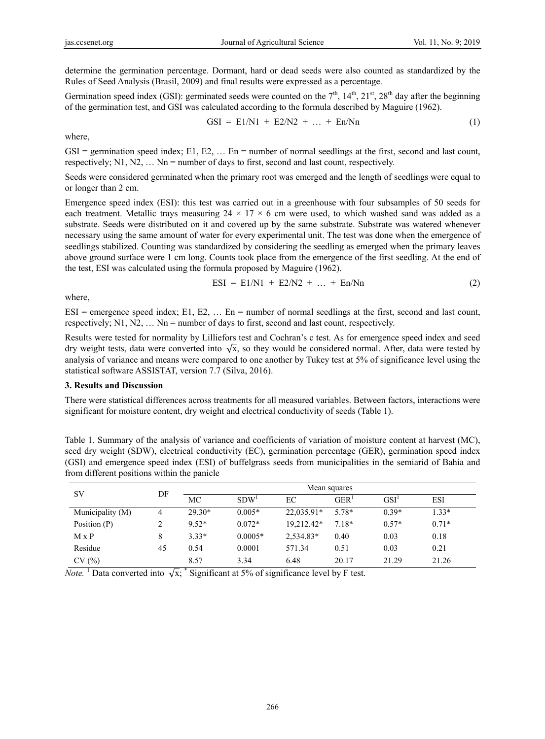determine the germination percentage. Dormant, hard or dead seeds were also counted as standardized by the Rules of Seed Analysis (Brasil, 2009) and final results were expressed as a percentage.

Germination speed index (GSI): germinated seeds were counted on the  $7<sup>th</sup>$ ,  $14<sup>th</sup>$ ,  $21<sup>st</sup>$ ,  $28<sup>th</sup>$  day after the beginning of the germination test, and GSI was calculated according to the formula described by Maguire (1962).

$$
GSI = E1/N1 + E2/N2 + ... + En/Nn
$$
 (1)

where,

 $GSI =$  germination speed index; E1, E2, ... En = number of normal seedlings at the first, second and last count, respectively;  $N1, N2, \ldots$   $Nn =$  number of days to first, second and last count, respectively.

Seeds were considered germinated when the primary root was emerged and the length of seedlings were equal to or longer than 2 cm.

Emergence speed index (ESI): this test was carried out in a greenhouse with four subsamples of 50 seeds for each treatment. Metallic trays measuring  $24 \times 17 \times 6$  cm were used, to which washed sand was added as a substrate. Seeds were distributed on it and covered up by the same substrate. Substrate was watered whenever necessary using the same amount of water for every experimental unit. The test was done when the emergence of seedlings stabilized. Counting was standardized by considering the seedling as emerged when the primary leaves above ground surface were 1 cm long. Counts took place from the emergence of the first seedling. At the end of the test, ESI was calculated using the formula proposed by Maguire (1962).

$$
ESI = E1/N1 + E2/N2 + ... + En/Nn
$$
 (2)

where,

 $ESI$  = emergence speed index; E1, E2, ... En = number of normal seedlings at the first, second and last count, respectively;  $N1, N2, \ldots$  Nn = number of days to first, second and last count, respectively.

Results were tested for normality by Lilliefors test and Cochran's c test. As for emergence speed index and seed dry weight tests, data were converted into  $\sqrt{x}$ , so they would be considered normal. After, data were tested by analysis of variance and means were compared to one another by Tukey test at 5% of significance level using the statistical software ASSISTAT, version 7.7 (Silva, 2016).

#### **3. Results and Discussion**

There were statistical differences across treatments for all measured variables. Between factors, interactions were significant for moisture content, dry weight and electrical conductivity of seeds (Table 1).

| Table 1. Summary of the analysis of variance and coefficients of variation of moisture content at harvest (MC), |
|-----------------------------------------------------------------------------------------------------------------|
| seed dry weight (SDW), electrical conductivity (EC), germination percentage (GER), germination speed index      |
| (GSI) and emergence speed index (ESI) of buffelgrass seeds from municipalities in the semiarid of Bahia and     |
| from different positions within the panicle                                                                     |

| SV               | DF | Mean squares |                  |            |                  |                  |            |
|------------------|----|--------------|------------------|------------|------------------|------------------|------------|
|                  |    | MC           | SDW <sup>1</sup> | EC         | GER <sup>T</sup> | GSI <sup>1</sup> | <b>ESI</b> |
| Municipality (M) | 4  | $29.30*$     | $0.005*$         | 22,035.91* | 5.78*            | $0.39*$          | $1.33*$    |
| Position $(P)$   |    | $9.52*$      | $0.072*$         | 19.212.42* | 7.18*            | $0.57*$          | $0.71*$    |
| $M \times P$     |    | $3.33*$      | $0.0005*$        | 2,534.83*  | 0.40             | 0.03             | 0.18       |
| Residue          | 45 | 0.54         | 0.0001           | 571.34     | 0.51             | 0.03             | 0.21       |
| CV(%)            |    | 8.57         | 3.34             | 6.48       | 20.17            | 21.29            | 21.26      |

*Note.* <sup>1</sup> Data converted into  $\sqrt{x}$ ; <sup>\*</sup> Significant at 5% of significance level by F test.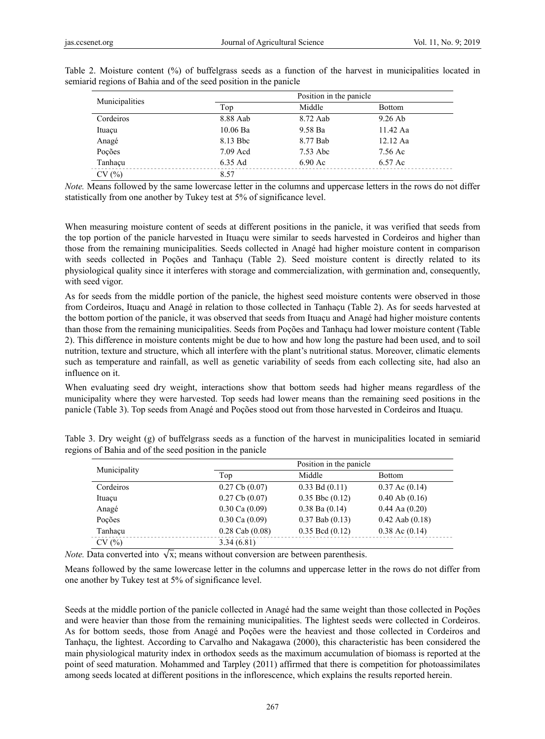| Municipalities |            | Position in the panicle |               |  |  |
|----------------|------------|-------------------------|---------------|--|--|
|                | Top        | Middle                  | <b>Bottom</b> |  |  |
| Cordeiros      | 8.88 Aab   | 8.72 Aab                | $9.26$ Ab     |  |  |
| Ituaçu         | $10.06$ Ba | 9.58 Ba                 | 11.42 Aa      |  |  |
| Anagé          | 8.13 Bbc   | 8.77 Bab                | $12.12$ Aa    |  |  |
| Poções         | $7.09$ Acd | 7.53 Abc                | 7.56 Ac       |  |  |
| Tanhaçu        | 6.35 Ad    | $6.90 \text{ Ac}$       | 6.57 Ac       |  |  |
| CV(%)          | 8.57       |                         |               |  |  |

Table 2. Moisture content (%) of buffelgrass seeds as a function of the harvest in municipalities located in semiarid regions of Bahia and of the seed position in the panicle

*Note.* Means followed by the same lowercase letter in the columns and uppercase letters in the rows do not differ statistically from one another by Tukey test at 5% of significance level.

When measuring moisture content of seeds at different positions in the panicle, it was verified that seeds from the top portion of the panicle harvested in Ituaçu were similar to seeds harvested in Cordeiros and higher than those from the remaining municipalities. Seeds collected in Anagé had higher moisture content in comparison with seeds collected in Poções and Tanhaçu (Table 2). Seed moisture content is directly related to its physiological quality since it interferes with storage and commercialization, with germination and, consequently, with seed vigor.

As for seeds from the middle portion of the panicle, the highest seed moisture contents were observed in those from Cordeiros, Ituaçu and Anagé in relation to those collected in Tanhaçu (Table 2). As for seeds harvested at the bottom portion of the panicle, it was observed that seeds from Ituaçu and Anagé had higher moisture contents than those from the remaining municipalities. Seeds from Poções and Tanhaçu had lower moisture content (Table 2). This difference in moisture contents might be due to how and how long the pasture had been used, and to soil nutrition, texture and structure, which all interfere with the plant's nutritional status. Moreover, climatic elements such as temperature and rainfall, as well as genetic variability of seeds from each collecting site, had also an influence on it.

When evaluating seed dry weight, interactions show that bottom seeds had higher means regardless of the municipality where they were harvested. Top seeds had lower means than the remaining seed positions in the panicle (Table 3). Top seeds from Anagé and Poções stood out from those harvested in Cordeiros and Ituaçu.

| Municipality |                     | Position in the panicle |                     |  |  |
|--------------|---------------------|-------------------------|---------------------|--|--|
|              | Top                 | Middle                  | <b>Bottom</b>       |  |  |
| Cordeiros    | $0.27$ Cb $(0.07)$  | $0.33$ Bd $(0.11)$      | $0.37$ Ac $(0.14)$  |  |  |
| Ituaçu       | $0.27$ Cb $(0.07)$  | $0.35$ Bbc $(0.12)$     | $0.40$ Ab $(0.16)$  |  |  |
| Anagé        | $0.30$ Ca $(0.09)$  | $0.38$ Ba $(0.14)$      | $0.44$ Aa $(0.20)$  |  |  |
| Pocões       | $0.30$ Ca $(0.09)$  | $0.37$ Bab $(0.13)$     | $0.42$ Aab $(0.18)$ |  |  |
| Tanhaçu      | $0.28$ Cab $(0.08)$ | $0.35$ Bcd $(0.12)$     | $0.38$ Ac $(0.14)$  |  |  |
| CV(%)        | 3.34(6.81)          |                         |                     |  |  |

Table 3. Dry weight (g) of buffelgrass seeds as a function of the harvest in municipalities located in semiarid regions of Bahia and of the seed position in the panicle

*Note.* Data converted into  $\sqrt{x}$ ; means without conversion are between parenthesis.

Means followed by the same lowercase letter in the columns and uppercase letter in the rows do not differ from one another by Tukey test at 5% of significance level.

Seeds at the middle portion of the panicle collected in Anagé had the same weight than those collected in Poções and were heavier than those from the remaining municipalities. The lightest seeds were collected in Cordeiros. As for bottom seeds, those from Anagé and Poções were the heaviest and those collected in Cordeiros and Tanhaçu, the lightest. According to Carvalho and Nakagawa (2000), this characteristic has been considered the main physiological maturity index in orthodox seeds as the maximum accumulation of biomass is reported at the point of seed maturation. Mohammed and Tarpley (2011) affirmed that there is competition for photoassimilates among seeds located at different positions in the inflorescence, which explains the results reported herein.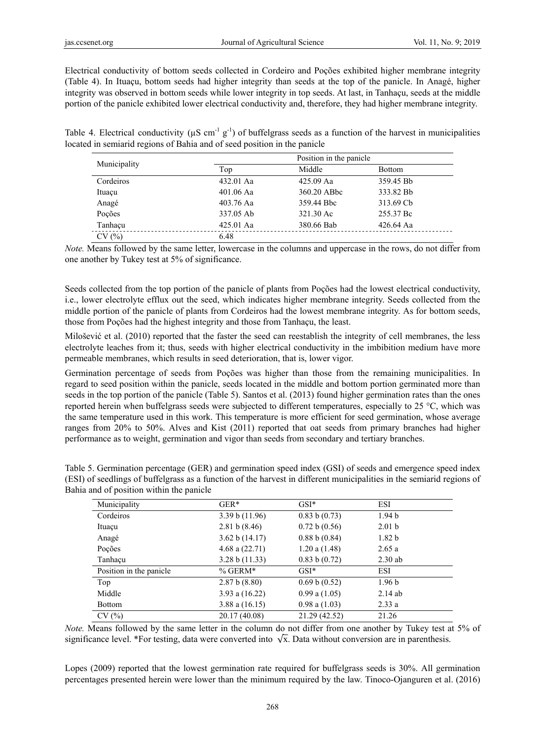Electrical conductivity of bottom seeds collected in Cordeiro and Poções exhibited higher membrane integrity (Table 4). In Ituaçu, bottom seeds had higher integrity than seeds at the top of the panicle. In Anagé, higher integrity was observed in bottom seeds while lower integrity in top seeds. At last, in Tanhaçu, seeds at the middle portion of the panicle exhibited lower electrical conductivity and, therefore, they had higher membrane integrity.

Table 4. Electrical conductivity ( $\mu$ S cm<sup>-1</sup> g<sup>-1</sup>) of buffelgrass seeds as a function of the harvest in municipalities located in semiarid regions of Bahia and of seed position in the panicle

|              |             | Position in the panicle |               |  |  |
|--------------|-------------|-------------------------|---------------|--|--|
| Municipality | Top         | Middle                  | <b>Bottom</b> |  |  |
| Cordeiros    | 432.01 Aa   | 425.09 Aa               | 359.45 Bb     |  |  |
| Ituaçu       | $401.06$ Aa | 360.20 ABbc             | 333.82 Bb     |  |  |
| Anagé        | 403.76 Aa   | 359.44 Bbc              | 313.69 Cb     |  |  |
| Pocões       | 337.05 Ab   | 321.30 Ac               | 255.37 Bc     |  |  |
| Tanhacu      | 425.01 Aa   | 380.66 Bab              | 426.64 Aa     |  |  |
| CV(%)        | 6.48        |                         |               |  |  |

*Note.* Means followed by the same letter, lowercase in the columns and uppercase in the rows, do not differ from one another by Tukey test at 5% of significance.

Seeds collected from the top portion of the panicle of plants from Poções had the lowest electrical conductivity, i.e., lower electrolyte efflux out the seed, which indicates higher membrane integrity. Seeds collected from the middle portion of the panicle of plants from Cordeiros had the lowest membrane integrity. As for bottom seeds, those from Poções had the highest integrity and those from Tanhaçu, the least.

Milošević et al. (2010) reported that the faster the seed can reestablish the integrity of cell membranes, the less electrolyte leaches from it; thus, seeds with higher electrical conductivity in the imbibition medium have more permeable membranes, which results in seed deterioration, that is, lower vigor.

Germination percentage of seeds from Poções was higher than those from the remaining municipalities. In regard to seed position within the panicle, seeds located in the middle and bottom portion germinated more than seeds in the top portion of the panicle (Table 5). Santos et al. (2013) found higher germination rates than the ones reported herein when buffelgrass seeds were subjected to different temperatures, especially to 25 °C, which was the same temperature used in this work. This temperature is more efficient for seed germination, whose average ranges from 20% to 50%. Alves and Kist (2011) reported that oat seeds from primary branches had higher performance as to weight, germination and vigor than seeds from secondary and tertiary branches.

| Municipality            | $GER*$           | $GSI^*$           | ESI               |
|-------------------------|------------------|-------------------|-------------------|
| Cordeiros               | 3.39 b (11.96)   | 0.83 b(0.73)      | 1.94 <sub>b</sub> |
| Ituaçu                  | 2.81 b (8.46)    | 0.72 b (0.56)     | 2.01 <sub>b</sub> |
| Anagé                   | 3.62 b (14.17)   | 0.88 b (0.84)     | 1.82 <sub>b</sub> |
| Poções                  | 4.68 a $(22.71)$ | $1.20$ a $(1.48)$ | 2.65a             |
| Tanhaçu                 | 3.28 b (11.33)   | 0.83 b(0.72)      | $2.30$ ab         |
| Position in the panicle | $% GERM*$        | $GSI^*$           | <b>ESI</b>        |
| Top                     | 2.87 b (8.80)    | 0.69 b(0.52)      | 1.96 <sub>b</sub> |
| Middle                  | 3.93 a $(16.22)$ | $0.99$ a $(1.05)$ | $2.14$ ab         |
| <b>Bottom</b>           | 3.88 a $(16.15)$ | $0.98$ a $(1.03)$ | 2.33a             |
| CV(%)                   | 20.17 (40.08)    | 21.29 (42.52)     | 21.26             |

Table 5. Germination percentage (GER) and germination speed index (GSI) of seeds and emergence speed index (ESI) of seedlings of buffelgrass as a function of the harvest in different municipalities in the semiarid regions of Bahia and of position within the panicle

*Note.* Means followed by the same letter in the column do not differ from one another by Tukey test at 5% of significance level. \*For testing, data were converted into  $\sqrt{x}$ . Data without conversion are in parenthesis.

Lopes (2009) reported that the lowest germination rate required for buffelgrass seeds is 30%. All germination percentages presented herein were lower than the minimum required by the law. Tinoco-Ojanguren et al. (2016)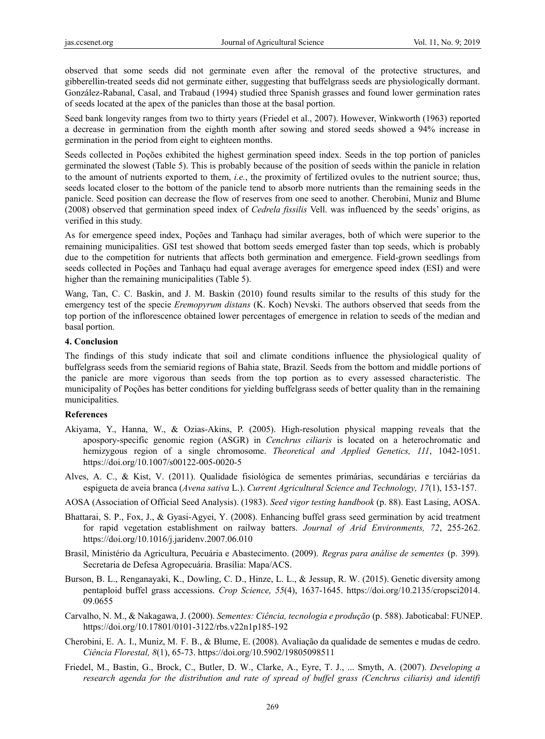observed that some seeds did not germinate even after the removal of the protective structures, and gibberellin-treated seeds did not germinate either, suggesting that buffelgrass seeds are physiologically dormant. González-Rabanal, Casal, and Trabaud (1994) studied three Spanish grasses and found lower germination rates of seeds located at the apex of the panicles than those at the basal portion.

Seed bank longevity ranges from two to thirty years (Friedel et al., 2007). However, Winkworth (1963) reported a decrease in germination from the eighth month after sowing and stored seeds showed a 94% increase in germination in the period from eight to eighteen months.

Seeds collected in Poções exhibited the highest germination speed index. Seeds in the top portion of panicles germinated the slowest (Table 5). This is probably because of the position of seeds within the panicle in relation to the amount of nutrients exported to them, *i.e.*, the proximity of fertilized ovules to the nutrient source; thus, seeds located closer to the bottom of the panicle tend to absorb more nutrients than the remaining seeds in the panicle. Seed position can decrease the flow of reserves from one seed to another. Cherobini, Muniz and Blume (2008) observed that germination speed index of *Cedrela fissilis* Vell. was influenced by the seeds' origins, as verified in this study.

As for emergence speed index, Poções and Tanhaçu had similar averages, both of which were superior to the remaining municipalities. GSI test showed that bottom seeds emerged faster than top seeds, which is probably due to the competition for nutrients that affects both germination and emergence. Field-grown seedlings from seeds collected in Poções and Tanhaçu had equal average averages for emergence speed index (ESI) and were higher than the remaining municipalities (Table 5).

Wang, Tan, C. C. Baskin, and J. M. Baskin (2010) found results similar to the results of this study for the emergency test of the specie *Eremopyrum distans* (K. Koch) Nevski. The authors observed that seeds from the top portion of the inflorescence obtained lower percentages of emergence in relation to seeds of the median and basal portion.

### **4. Conclusion**

The findings of this study indicate that soil and climate conditions influence the physiological quality of buffelgrass seeds from the semiarid regions of Bahia state, Brazil. Seeds from the bottom and middle portions of the panicle are more vigorous than seeds from the top portion as to every assessed characteristic. The municipality of Poções has better conditions for yielding buffelgrass seeds of better quality than in the remaining municipalities.

# **References**

- Akiyama, Y., Hanna, W., & Ozias-Akins, P. (2005). High-resolution physical mapping reveals that the apospory-specific genomic region (ASGR) in *Cenchrus ciliaris* is located on a heterochromatic and hemizygous region of a single chromosome. *Theoretical and Applied Genetics, 111*, 1042-1051. https://doi.org/10.1007/s00122-005-0020-5
- Alves, A. C., & Kist, V. (2011). Qualidade fisiológica de sementes primárias, secundárias e terciárias da espigueta de aveia branca (*Avena sativa* L.). *Current Agricultural Science and Technology, 17*(1), 153-157.
- AOSA (Association of Official Seed Analysis). (1983). *Seed vigor testing handbook* (p. 88). East Lasing, AOSA.
- Bhattarai, S. P., Fox, J., & Gyasi-Agyei, Y. (2008). Enhancing buffel grass seed germination by acid treatment for rapid vegetation establishment on railway batters. *Journal of Arid Environments, 72*, 255-262. https://doi.org/10.1016/j.jaridenv.2007.06.010
- Brasil, Ministério da Agricultura, Pecuária e Abastecimento. (2009). *Regras para análise de sementes* (p. 399)*.* Secretaria de Defesa Agropecuária. Brasília: Mapa/ACS.
- Burson, B. L., Renganayaki, K., Dowling, C. D., Hinze, L. L., & Jessup, R. W. (2015). Genetic diversity among pentaploid buffel grass accessions. *Crop Science, 55*(4), 1637-1645. https://doi.org/10.2135/cropsci2014. 09.0655
- Carvalho, N. M., & Nakagawa, J. (2000). *Sementes: Ciência, tecnologia e produção* (p. 588). Jaboticabal: FUNEP. https://doi.org/10.17801/0101-3122/rbs.v22n1p185-192
- Cherobini, E. A. I., Muniz, M. F. B., & Blume, E. (2008). Avaliação da qualidade de sementes e mudas de cedro. *Ciência Florestal, 8*(1), 65-73. https://doi.org/10.5902/19805098511
- Friedel, M., Bastin, G., Brock, C., Butler, D. W., Clarke, A., Eyre, T. J., ... Smyth, A. (2007). *Developing a research agenda for the distribution and rate of spread of buffel grass (Cenchrus ciliaris) and identifi*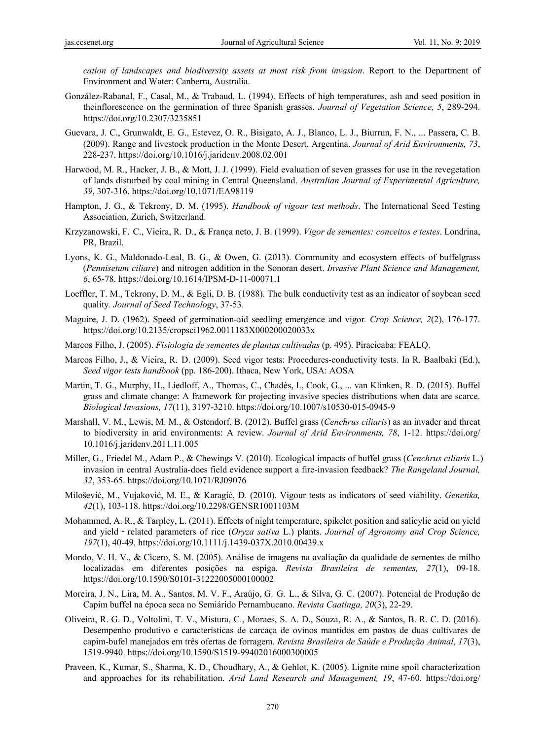*cation of landscapes and biodiversity assets at most risk from invasion*. Report to the Department of Environment and Water: Canberra, Australia.

- González-Rabanal, F., Casal, M., & Trabaud, L. (1994). Effects of high temperatures, ash and seed position in theinflorescence on the germination of three Spanish grasses. *Journal of Vegetation Science, 5*, 289-294. https://doi.org/10.2307/3235851
- Guevara, J. C., Grunwaldt, E. G., Estevez, O. R., Bisigato, A. J., Blanco, L. J., Biurrun, F. N., ... Passera, C. B. (2009). Range and livestock production in the Monte Desert, Argentina. *Journal of Arid Environments, 73*, 228-237. https://doi.org/10.1016/j.jaridenv.2008.02.001
- Harwood, M. R., Hacker, J. B., & Mott, J. J. (1999). Field evaluation of seven grasses for use in the revegetation of lands disturbed by coal mining in Central Queensland. *Australian Journal of Experimental Agriculture, 39*, 307-316. https://doi.org/10.1071/EA98119
- Hampton, J. G., & Tekrony, D. M. (1995). *Handbook of vigour test methods*. The International Seed Testing Association, Zurich, Switzerland.
- Krzyzanowski, F. C., Vieira, R. D., & França neto, J. B. (1999). *Vigor de sementes: conceitos e testes*. Londrina, PR, Brazil.
- Lyons, K. G., Maldonado-Leal, B. G., & Owen, G. (2013). Community and ecosystem effects of buffelgrass (*Pennisetum ciliare*) and nitrogen addition in the Sonoran desert. *Invasive Plant Science and Management, 6*, 65-78. https://doi.org/10.1614/IPSM-D-11-00071.1
- Loeffler, T. M., Tekrony, D. M., & Egli, D. B. (1988). The bulk conductivity test as an indicator of soybean seed quality. *Journal of Seed Technology*, 37-53.
- Maguire, J. D. (1962). Speed of germination-aid seedling emergence and vigor*. Crop Science, 2*(2), 176-177. https://doi.org/10.2135/cropsci1962.0011183X000200020033x
- Marcos Filho, J. (2005). *Fisiologia de sementes de plantas cultivadas* (p. 495). Piracicaba: FEALQ.
- Marcos Filho, J., & Vieira, R. D. (2009). Seed vigor tests: Procedures-conductivity tests. In R. Baalbaki (Ed.), *Seed vigor tests handbook* (pp. 186-200). Ithaca, New York, USA: AOSA
- Martin, T. G., Murphy, H., Liedloff, A., Thomas, C., Chadès, I., Cook, G., ... van Klinken, R. D. (2015). Buffel grass and climate change: A framework for projecting invasive species distributions when data are scarce. *Biological Invasions, 17*(11), 3197-3210. https://doi.org/10.1007/s10530-015-0945-9
- Marshall, V. M., Lewis, M. M., & Ostendorf, B. (2012). Buffel grass (*Cenchrus ciliaris*) as an invader and threat to biodiversity in arid environments: A review. *Journal of Arid Environments, 78*, 1-12. https://doi.org/ 10.1016/j.jaridenv.2011.11.005
- Miller, G., Friedel M., Adam P., & Chewings V. (2010). Ecological impacts of buffel grass (*Cenchrus ciliaris* L.) invasion in central Australia-does field evidence support a fire-invasion feedback? *The Rangeland Journal, 32*, 353-65. https://doi.org/10.1071/RJ09076
- Milošević, M., Vujaković, M. E., & Karagić, Đ. (2010). Vigour tests as indicators of seed viability. *Genetika, 42*(1), 103-118. https://doi.org/10.2298/GENSR1001103M
- Mohammed, A. R., & Tarpley, L. (2011). Effects of night temperature, spikelet position and salicylic acid on yield and yield - related parameters of rice (*Oryza sativa L.*) plants. *Journal of Agronomy and Crop Science*, *197*(1), 40-49. https://doi.org/10.1111/j.1439-037X.2010.00439.x
- Mondo, V. H. V., & Cìcero, S. M. (2005). Análise de imagens na avaliação da qualidade de sementes de milho localizadas em diferentes posições na espiga. *Revista Brasileira de sementes, 27*(1), 09-18. https://doi.org/10.1590/S0101-31222005000100002
- Moreira, J. N., Lira, M. A., Santos, M. V. F., Araújo, G. G. L., & Silva, G. C. (2007). Potencial de Produção de Capim buffel na época seca no Semiárido Pernambucano. *Revista Caatinga, 20*(3), 22-29.
- Oliveira, R. G. D., Voltolini, T. V., Mistura, C., Moraes, S. A. D., Souza, R. A., & Santos, B. R. C. D. (2016). Desempenho produtivo e características de carcaça de ovinos mantidos em pastos de duas cultivares de capim-bufel manejados em três ofertas de forragem. *Revista Brasileira de Saúde e Produção Animal, 17*(3), 1519-9940. https://doi.org/10.1590/S1519-99402016000300005
- Praveen, K., Kumar, S., Sharma, K. D., Choudhary, A., & Gehlot, K. (2005). Lignite mine spoil characterization and approaches for its rehabilitation. *Arid Land Research and Management, 19*, 47-60. https://doi.org/